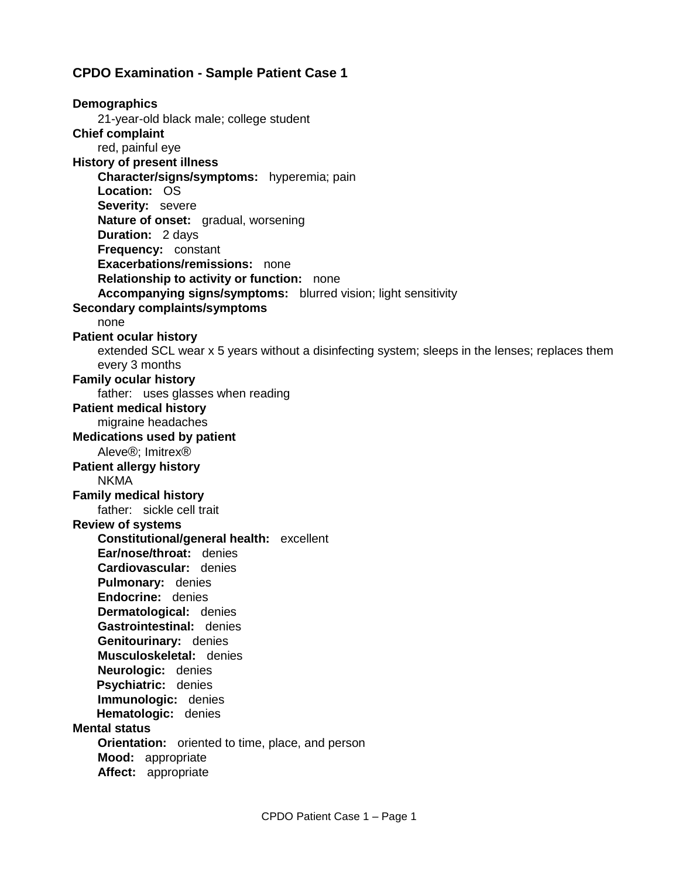### **CPDO Examination - Sample Patient Case 1**

**Demographics** 21-year-old black male; college student **Chief complaint** red, painful eye **History of present illness Character/signs/symptoms:** hyperemia; pain **Location:** OS **Severity:** severe **Nature of onset:** gradual, worsening **Duration:** 2 days **Frequency:** constant **Exacerbations/remissions:** none **Relationship to activity or function:** none **Accompanying signs/symptoms:** blurred vision; light sensitivity **Secondary complaints/symptoms** none **Patient ocular history** extended SCL wear x 5 years without a disinfecting system; sleeps in the lenses; replaces them every 3 months **Family ocular history** father: uses glasses when reading **Patient medical history** migraine headaches **Medications used by patient** Aleve®; Imitrex® **Patient allergy history** NKMA **Family medical history** father: sickle cell trait **Review of systems Constitutional/general health:** excellent **Ear/nose/throat:** denies **Cardiovascular:** denies **Pulmonary:** denies **Endocrine:** denies **Dermatological:** denies **Gastrointestinal:** denies **Genitourinary:** denies **Musculoskeletal:** denies **Neurologic:** denies **Psychiatric:** denies **Immunologic:** denies **Hematologic:** denies **Mental status Orientation:** oriented to time, place, and person **Mood:** appropriate **Affect:** appropriate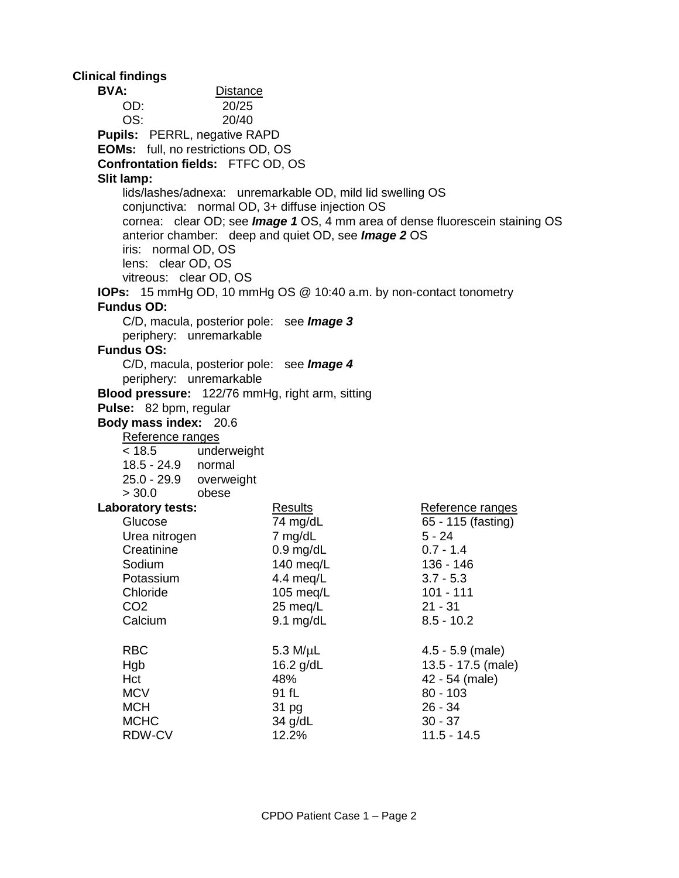**Clinical findings BVA:** Distance OD: 20/25 OS: 20/40 **Pupils:** PERRL, negative RAPD **EOMs:** full, no restrictions OD, OS **Confrontation fields:** FTFC OD, OS **Slit lamp:** lids/lashes/adnexa: unremarkable OD, mild lid swelling OS conjunctiva: normal OD, 3+ diffuse injection OS cornea: clear OD; see *Image 1* OS, 4 mm area of dense fluorescein staining OS anterior chamber: deep and quiet OD, see *Image 2* OS iris: normal OD, OS lens: clear OD, OS vitreous: clear OD, OS **IOPs:** 15 mmHg OD, 10 mmHg OS @ 10:40 a.m. by non-contact tonometry **Fundus OD:** C/D, macula, posterior pole: see *Image 3*  periphery: unremarkable **Fundus OS:** C/D, macula, posterior pole: see *Image 4* periphery: unremarkable **Blood pressure:** 122/76 mmHg, right arm, sitting **Pulse:** 82 bpm, regular **Body mass index:** 20.6 Reference ranges < 18.5 underweight 18.5 - 24.9 normal 25.0 - 29.9 overweight > 30.0 obese **Laboratory tests:** Results Results Reference ranges Glucose 74 mg/dL 65 - 115 (fasting) Urea nitrogen 7 mg/dL 5 - 24 Creatinine 0.9 mg/dL 0.7 - 1.4 Sodium 140 meg/L 136 - 146 Potassium 4.4 meq/L 3.7 - 5.3 Chloride 105 meg/L 101 - 111 CO2 25 meq/L 21 - 31 Calcium 9.1 mg/dL 8.5 - 10.2 RBC 5.3 M/uL 4.5 - 5.9 (male) Hgb 16.2 g/dL 13.5 - 17.5 (male) Hct 48% 42 - 54 (male) MCV 91 fL 80 - 103 MCH 31 pg 26 - 34 MCHC 34 g/dL 30 - 37 RDW-CV 12.2% 12.2% 11.5 - 14.5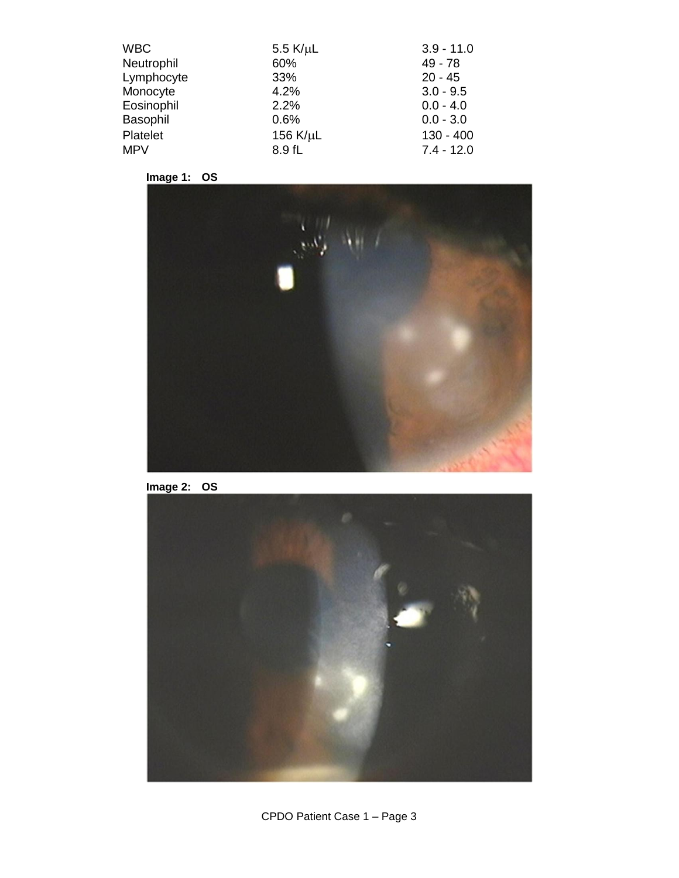| <b>WBC</b> | 5.5 $K/\mu$ L | $3.9 - 11.0$ |
|------------|---------------|--------------|
| Neutrophil | 60%           | $49 - 78$    |
| Lymphocyte | 33%           | $20 - 45$    |
| Monocyte   | 4.2%          | $3.0 - 9.5$  |
| Eosinophil | 2.2%          | $0.0 - 4.0$  |
| Basophil   | 0.6%          | $0.0 - 3.0$  |
| Platelet   | 156 K/µL      | $130 - 400$  |
| <b>MPV</b> | 8.9 fL        | $7.4 - 12.0$ |





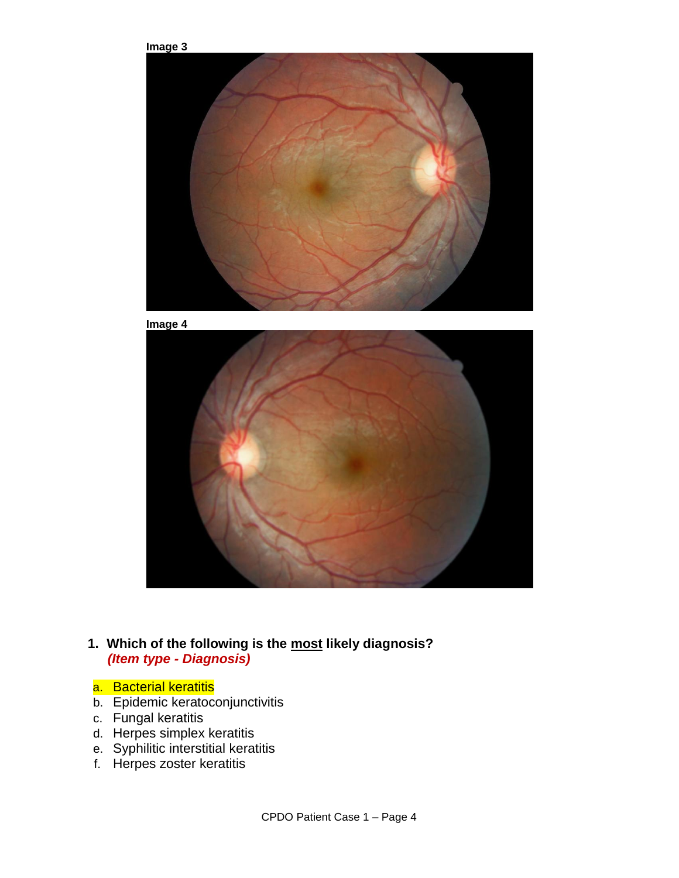

## **1. Which of the following is the most likely diagnosis?**  *(Item type - Diagnosis)*

- a. Bacterial keratitis
- b. Epidemic keratoconjunctivitis
- c. Fungal keratitis
- d. Herpes simplex keratitis
- e. Syphilitic interstitial keratitis
- f. Herpes zoster keratitis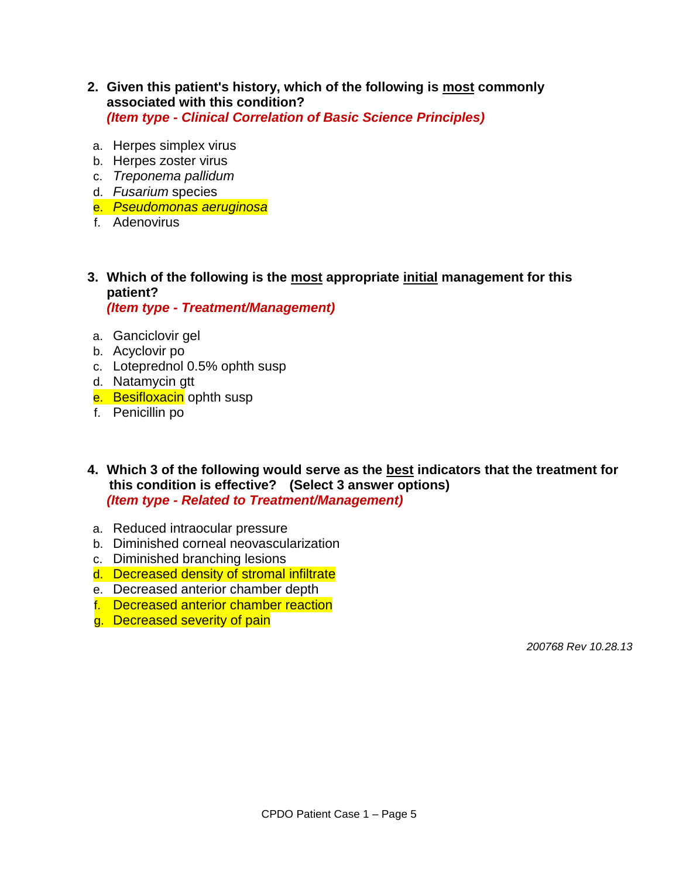- **2. Given this patient's history, which of the following is most commonly associated with this condition?** *(Item type - Clinical Correlation of Basic Science Principles)*
- a. Herpes simplex virus
- b. Herpes zoster virus
- c. *Treponema pallidum*
- d. *Fusarium* species
- e. *Pseudomonas aeruginosa*
- f. Adenovirus
- **3. Which of the following is the most appropriate initial management for this patient?**  *(Item type - Treatment/Management)*

- a. Ganciclovir gel
- b. Acyclovir po
- c. Loteprednol 0.5% ophth susp
- d. Natamycin gtt
- e. Besifloxacin ophth susp
- f. Penicillin po
- **4. Which 3 of the following would serve as the best indicators that the treatment for this condition is effective? (Select 3 answer options)**  *(Item type - Related to Treatment/Management)*
- a. Reduced intraocular pressure
- b. Diminished corneal neovascularization
- c. Diminished branching lesions
- d. Decreased density of stromal infiltrate
- e. Decreased anterior chamber depth
- f. Decreased anterior chamber reaction
- g. Decreased severity of pain

 *200768 Rev 10.28.13*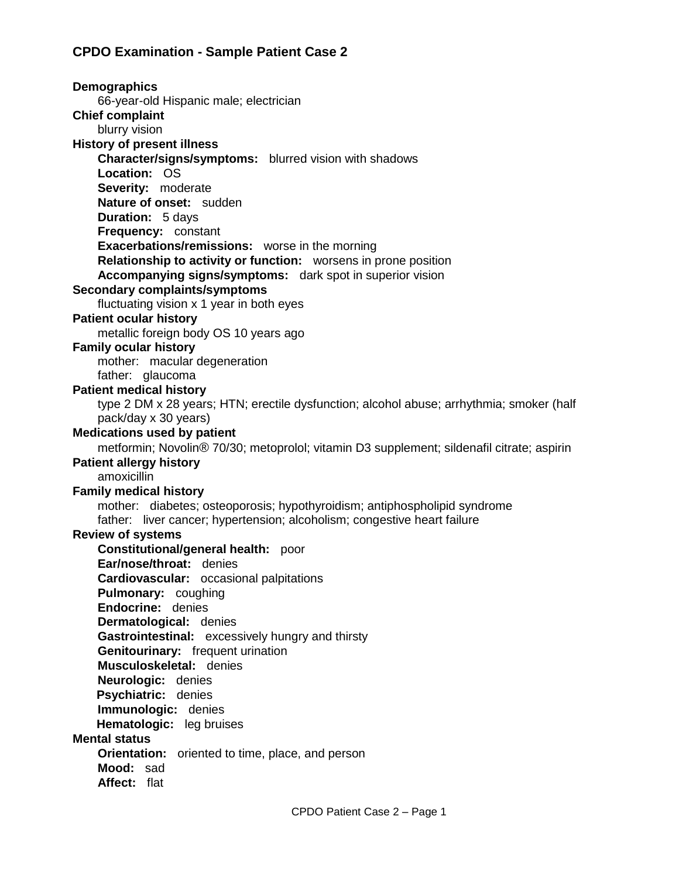# **CPDO Examination - Sample Patient Case 2**

**Demographics** 66-year-old Hispanic male; electrician **Chief complaint** blurry vision **History of present illness Character/signs/symptoms:** blurred vision with shadows **Location:** OS **Severity:** moderate **Nature of onset:** sudden **Duration:** 5 days **Frequency:** constant **Exacerbations/remissions:** worse in the morning **Relationship to activity or function:** worsens in prone position **Accompanying signs/symptoms:** dark spot in superior vision **Secondary complaints/symptoms** fluctuating vision x 1 year in both eyes **Patient ocular history** metallic foreign body OS 10 years ago **Family ocular history** mother: macular degeneration father: glaucoma **Patient medical history** type 2 DM x 28 years; HTN; erectile dysfunction; alcohol abuse; arrhythmia; smoker (half pack/day x 30 years) **Medications used by patient** metformin; Novolin® 70/30; metoprolol; vitamin D3 supplement; sildenafil citrate; aspirin **Patient allergy history** amoxicillin **Family medical history** mother: diabetes; osteoporosis; hypothyroidism; antiphospholipid syndrome father: liver cancer; hypertension; alcoholism; congestive heart failure **Review of systems Constitutional/general health:** poor **Ear/nose/throat:** denies **Cardiovascular:** occasional palpitations **Pulmonary:** coughing **Endocrine:** denies **Dermatological:** denies **Gastrointestinal:** excessively hungry and thirsty **Genitourinary:** frequent urination **Musculoskeletal:** denies **Neurologic:** denies **Psychiatric:** denies **Immunologic:** denies **Hematologic:** leg bruises **Mental status Orientation:** oriented to time, place, and person **Mood:** sad **Affect:** flat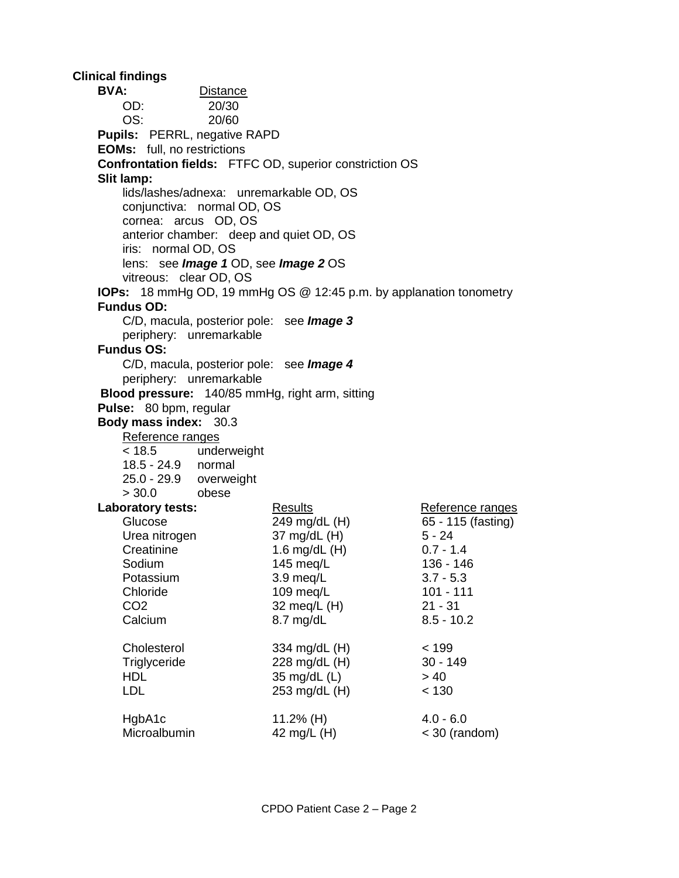**Clinical findings BVA:** Distance OD: 20/30 OS: 20/60 **Pupils:** PERRL, negative RAPD **EOMs:** full, no restrictions **Confrontation fields:** FTFC OD, superior constriction OS **Slit lamp:** lids/lashes/adnexa: unremarkable OD, OS conjunctiva: normal OD, OS cornea: arcus OD, OS anterior chamber: deep and quiet OD, OS iris: normal OD, OS lens: see *Image 1* OD, see *Image 2* OS vitreous: clear OD, OS **IOPs:** 18 mmHg OD, 19 mmHg OS @ 12:45 p.m. by applanation tonometry **Fundus OD:** C/D, macula, posterior pole: see *Image 3* periphery: unremarkable **Fundus OS:** C/D, macula, posterior pole: see *Image 4* periphery: unremarkable **Blood pressure:** 140/85 mmHg, right arm, sitting **Pulse:** 80 bpm, regular **Body mass index:** 30.3 Reference ranges < 18.5 underweight 18.5 - 24.9 normal 25.0 - 29.9 overweight > 30.0 obese **Laboratory tests:** Results Results Reference ranges Glucose 249 mg/dL (H) 65 - 115 (fasting) Urea nitrogen  $37 \text{ mg/dL (H)}$  5 - 24<br>Creatinine 1.6 mg/dL (H) 0.7 - 1.4 Creatinine 1.6 mg/dL (H) Sodium 145 meg/L 136 - 146 Potassium 3.9 meg/L 3.7 - 5.3 Chloride 109 meg/L 101 - 111 CO2 32 meq/L (H) 21 - 31 Calcium 8.7 mg/dL 8.5 - 10.2 Cholesterol 334 mg/dL (H) < 199 Triglyceride 228 mg/dL (H) 30 - 149  $HDL$   $35 \text{ mg/dL (L)}$   $> 40$ LDL 253 mg/dL (H) < 130 HgbA1c 11.2% (H) 4.0 - 6.0 Microalbumin 42 mg/L (H)  $\leq$  30 (random)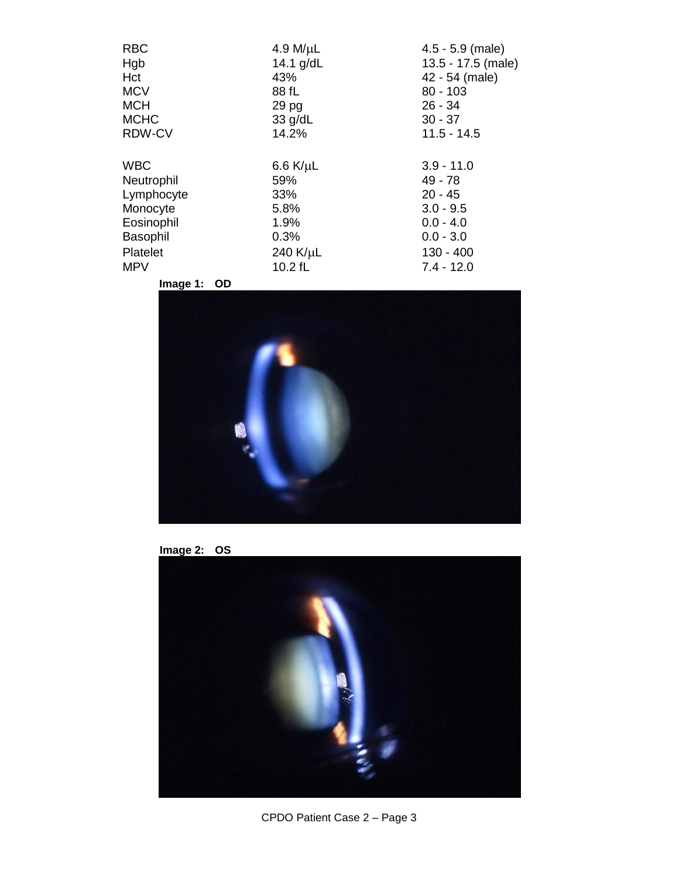| <b>RBC</b>      | 4.9 M/ $\mu$ L   | $4.5 - 5.9$ (male) |
|-----------------|------------------|--------------------|
| Hgb             | 14.1 $g/dL$      | 13.5 - 17.5 (male) |
| Hct             | 43%              | 42 - 54 (male)     |
| <b>MCV</b>      | 88 fL            | $80 - 103$         |
| <b>MCH</b>      | 29 pg            | $26 - 34$          |
| <b>MCHC</b>     | $33$ g/dL        | $30 - 37$          |
| RDW-CV          | 14.2%            | $11.5 - 14.5$      |
|                 |                  |                    |
| <b>WBC</b>      | $6.6$ K/ $\mu$ L | $3.9 - 11.0$       |
| Neutrophil      | 59%              | $49 - 78$          |
| Lymphocyte      | 33%              | $20 - 45$          |
| Monocyte        | 5.8%             | $3.0 - 9.5$        |
| Eosinophil      | 1.9%             | $0.0 - 4.0$        |
| <b>Basophil</b> | 0.3%             | $0.0 - 3.0$        |
| Platelet        | 240 $K/\mu$ L    | $130 - 400$        |
| <b>MPV</b>      | 10.2 fL          | $7.4 - 12.0$       |
|                 |                  |                    |

**Image 1: OD**





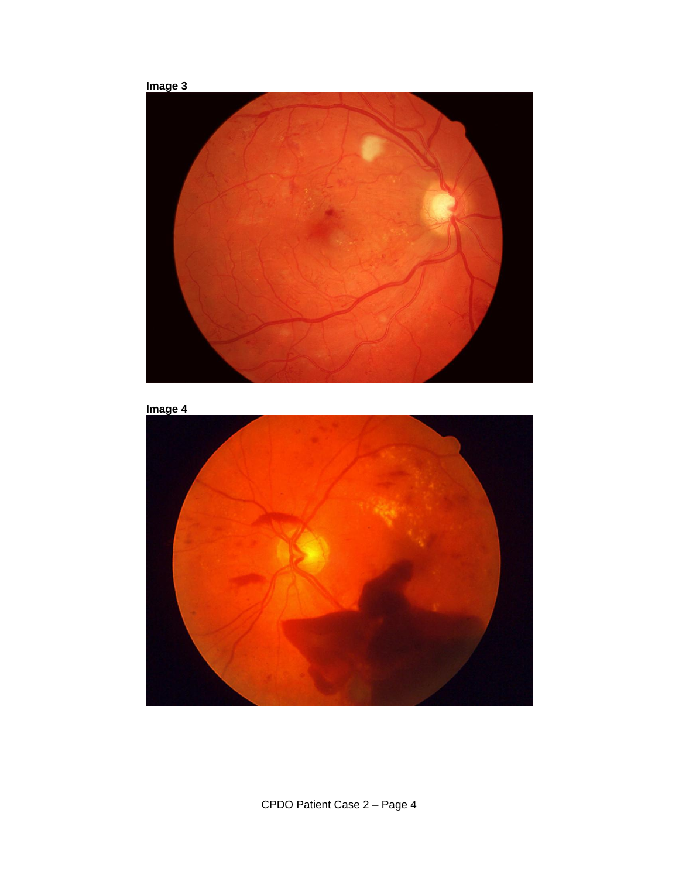



CPDO Patient Case 2 – Page 4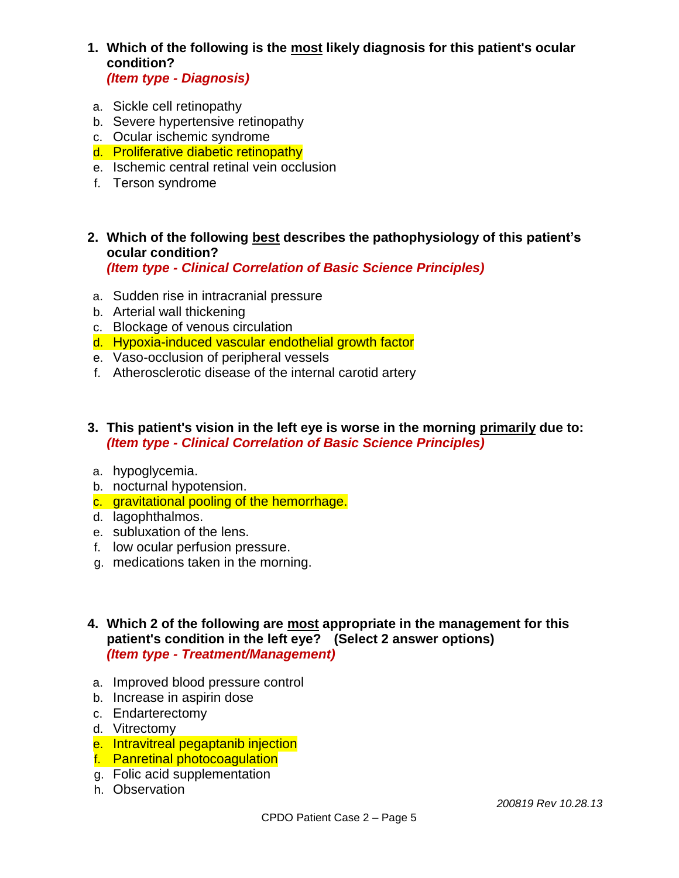**1. Which of the following is the most likely diagnosis for this patient's ocular condition?** 

*(Item type - Diagnosis)*

- a. Sickle cell retinopathy
- b. Severe hypertensive retinopathy
- c. Ocular ischemic syndrome
- d. Proliferative diabetic retinopathy
- e. Ischemic central retinal vein occlusion
- f. Terson syndrome
- **2. Which of the following best describes the pathophysiology of this patient's ocular condition?**  *(Item type - Clinical Correlation of Basic Science Principles)*
- a. Sudden rise in intracranial pressure
- b. Arterial wall thickening
- c. Blockage of venous circulation
- d. Hypoxia-induced vascular endothelial growth factor
- e. Vaso-occlusion of peripheral vessels
- f. Atherosclerotic disease of the internal carotid artery
- **3. This patient's vision in the left eye is worse in the morning primarily due to:**  *(Item type - Clinical Correlation of Basic Science Principles)*
- a. hypoglycemia.
- b. nocturnal hypotension.
- c. gravitational pooling of the hemorrhage.
- d. lagophthalmos.
- e. subluxation of the lens.
- f. low ocular perfusion pressure.
- g. medications taken in the morning.
- **4. Which 2 of the following are most appropriate in the management for this patient's condition in the left eye? (Select 2 answer options)**  *(Item type - Treatment/Management)*
- a. Improved blood pressure control
- b. Increase in aspirin dose
- c. Endarterectomy
- d. Vitrectomy
- e. Intravitreal pegaptanib injection
- f. Panretinal photocoagulation
- g. Folic acid supplementation
- h. Observation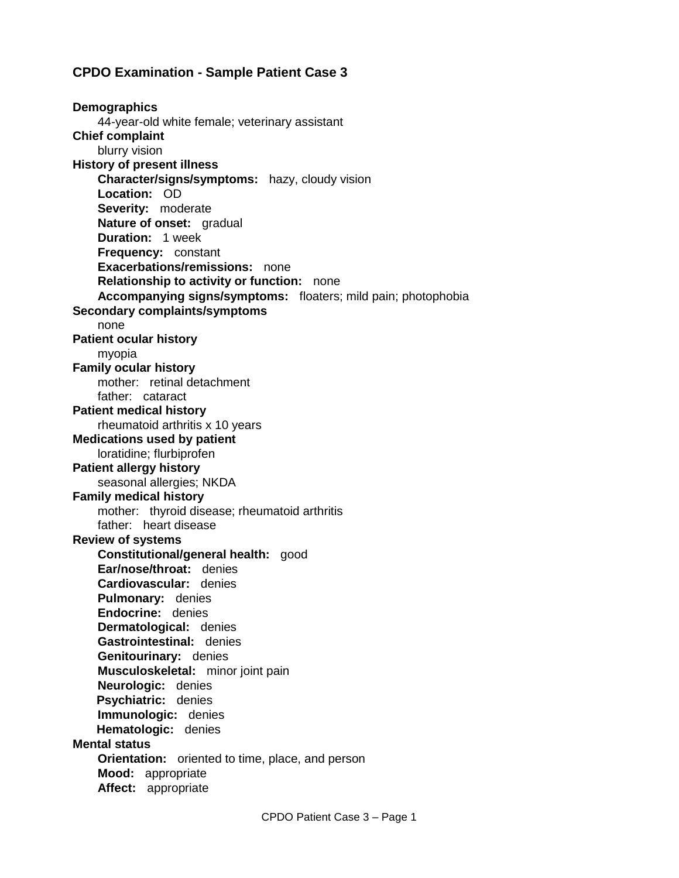### **CPDO Examination - Sample Patient Case 3**

**Demographics** 44-year-old white female; veterinary assistant **Chief complaint** blurry vision **History of present illness Character/signs/symptoms:** hazy, cloudy vision **Location:** OD **Severity:** moderate **Nature of onset:** gradual **Duration:** 1 week **Frequency:** constant **Exacerbations/remissions:** none **Relationship to activity or function:** none **Accompanying signs/symptoms:** floaters; mild pain; photophobia **Secondary complaints/symptoms** none **Patient ocular history** myopia **Family ocular history** mother: retinal detachment father: cataract **Patient medical history** rheumatoid arthritis x 10 years **Medications used by patient** loratidine; flurbiprofen **Patient allergy history** seasonal allergies; NKDA **Family medical history** mother: thyroid disease; rheumatoid arthritis father: heart disease **Review of systems Constitutional/general health:** good **Ear/nose/throat:** denies **Cardiovascular:** denies **Pulmonary:** denies **Endocrine:** denies **Dermatological:** denies **Gastrointestinal:** denies **Genitourinary:** denies **Musculoskeletal:** minor joint pain **Neurologic:** denies **Psychiatric:** denies **Immunologic:** denies **Hematologic:** denies **Mental status Orientation:** oriented to time, place, and person **Mood:** appropriate **Affect:** appropriate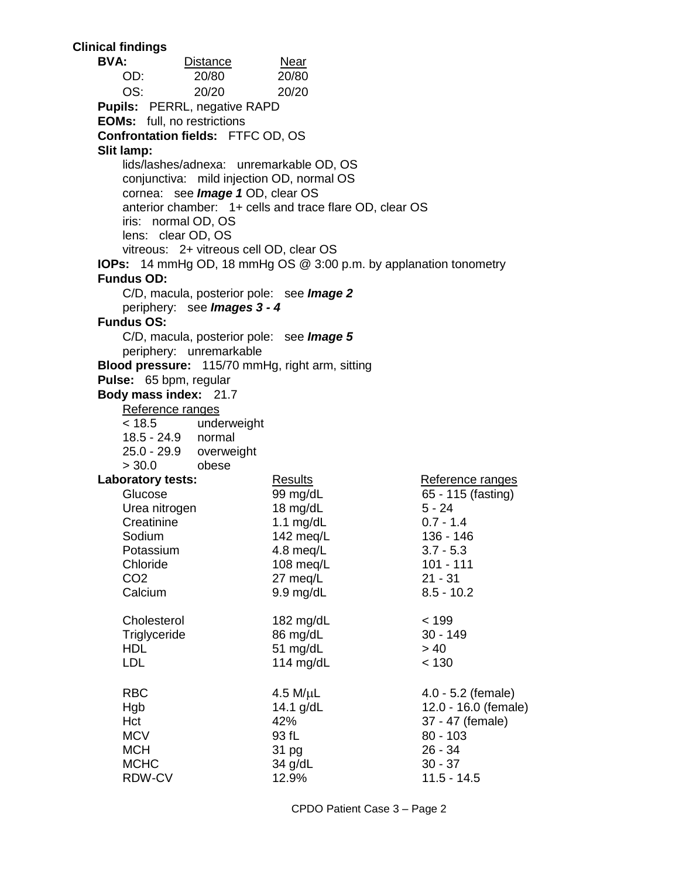**Clinical findings BVA:** Distance Near OD: 20/80 20/80 OS: 20/20 20/20 **Pupils:** PERRL, negative RAPD **EOMs:** full, no restrictions **Confrontation fields:** FTFC OD, OS **Slit lamp:** lids/lashes/adnexa: unremarkable OD, OS conjunctiva: mild injection OD, normal OS cornea: see *Image 1* OD, clear OS anterior chamber: 1+ cells and trace flare OD, clear OS iris: normal OD, OS lens: clear OD, OS vitreous: 2+ vitreous cell OD, clear OS **IOPs:** 14 mmHg OD, 18 mmHg OS @ 3:00 p.m. by applanation tonometry **Fundus OD:** C/D, macula, posterior pole: see *Image 2* periphery: see *Images 3 - 4* **Fundus OS:** C/D, macula, posterior pole: see *Image 5* periphery: unremarkable **Blood pressure:** 115/70 mmHg, right arm, sitting **Pulse:** 65 bpm, regular **Body mass index:** 21.7 Reference ranges < 18.5 underweight 18.5 - 24.9 normal 25.0 - 29.9 overweight > 30.0 obese **Laboratory tests:** Results Results Reference ranges Glucose 99 mg/dL 65 - 115 (fasting) Urea nitrogen 18 mg/dL 5 - 24 Creatinine 1.1 mg/dL 0.7 - 1.4 Sodium 142 meg/L 136 - 146 Potassium 4.8 meg/L 3.7 - 5.3 Chloride 108 meg/L 101 - 111 CO2 27 meq/L 21 - 31 Calcium 9.9 mg/dL 8.5 - 10.2 Cholesterol 182 mg/dL < 199 Triglyceride 86 mg/dL 30 - 149  $HDL$   $51 \text{ mg/d}L$   $> 40$ LDL 114 mg/dL < 130 RBC  $4.5 M/µL$   $4.0 - 5.2$  (female) Hgb 14.1 g/dL 12.0 - 16.0 (female) Hct 42% 37 - 47 (female) MCV 93 fL 80 - 103 MCH 31 pg 26 - 34 MCHC 30 - 37 RDW-CV 12.9% 11.5 - 14.5

CPDO Patient Case 3 – Page 2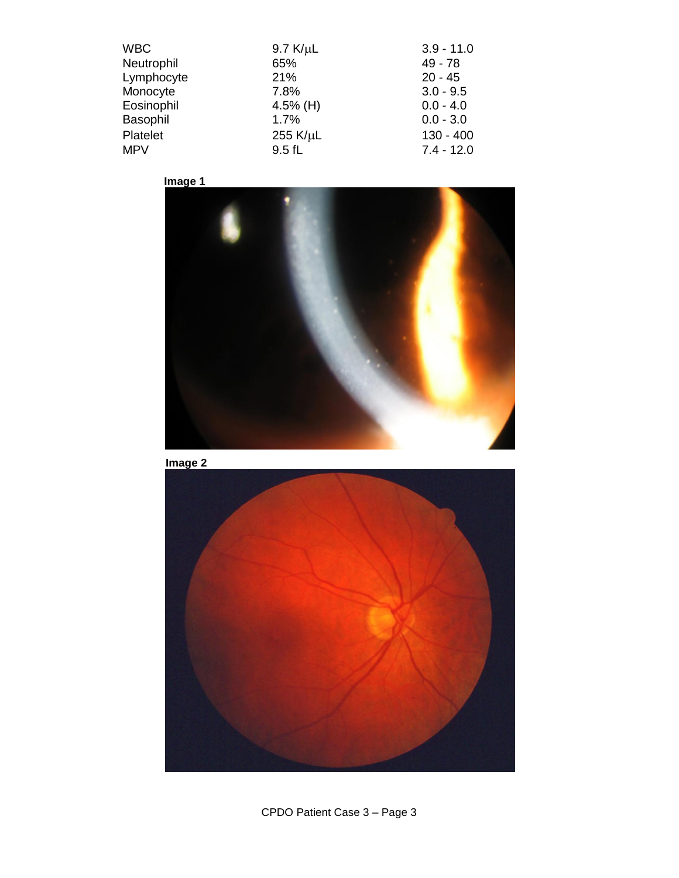| <b>WBC</b> | $9.7$ K/ $\mu$ L | $3.9 - 11.0$ |
|------------|------------------|--------------|
| Neutrophil | 65%              | $49 - 78$    |
| Lymphocyte | 21%              | $20 - 45$    |
| Monocyte   | 7.8%             | $3.0 - 9.5$  |
| Eosinophil | 4.5% (H)         | $0.0 - 4.0$  |
| Basophil   | 1.7%             | $0.0 - 3.0$  |
| Platelet   | 255 K/µL         | $130 - 400$  |
| <b>MPV</b> | 9.5fL            | $7.4 - 12.0$ |







CPDO Patient Case 3 – Page 3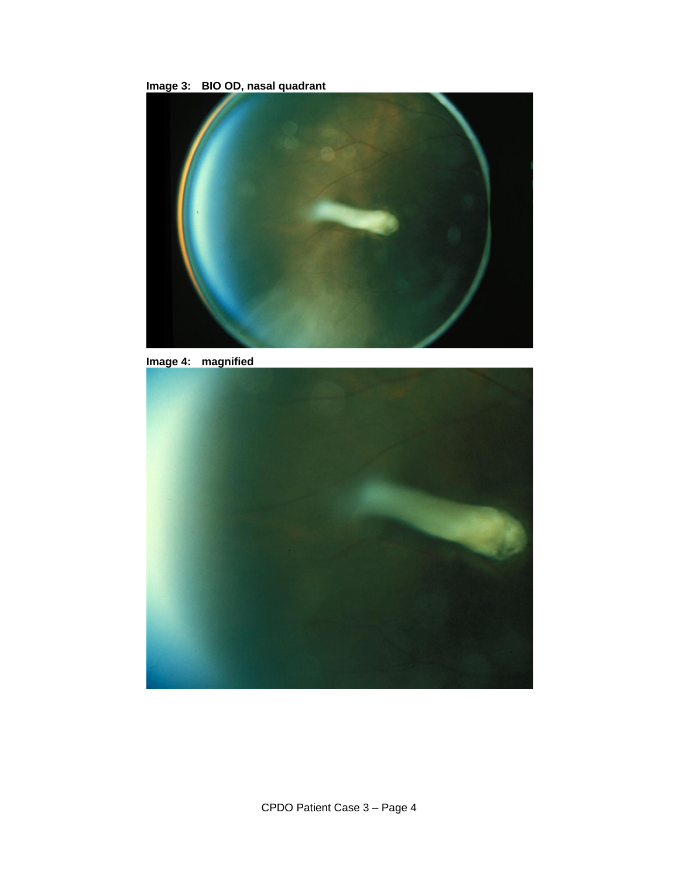



**Image 4: magnified**

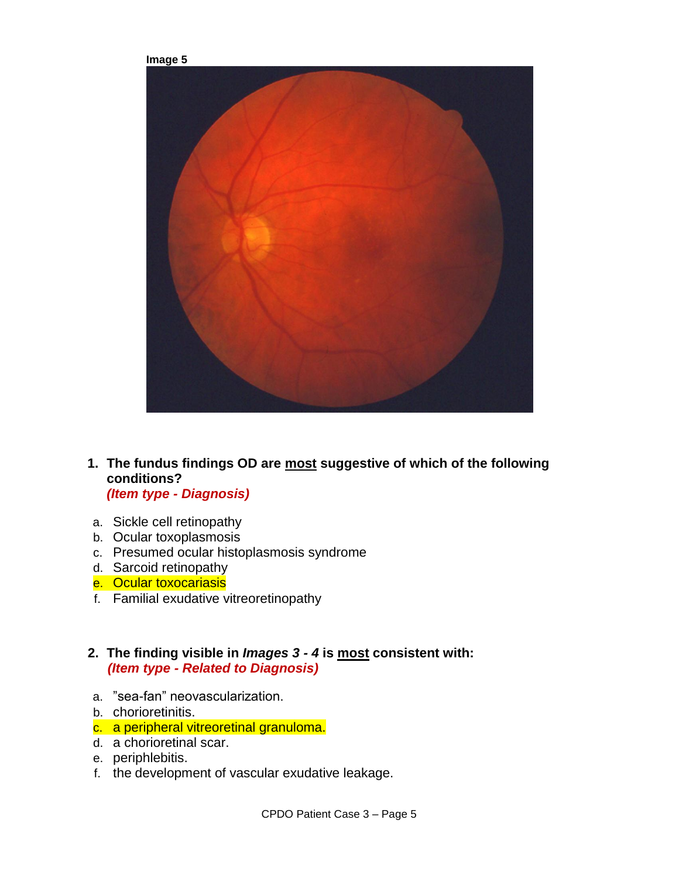

- **1. The fundus findings OD are most suggestive of which of the following conditions?**  *(Item type - Diagnosis)*
- a. Sickle cell retinopathy
- b. Ocular toxoplasmosis
- c. Presumed ocular histoplasmosis syndrome
- d. Sarcoid retinopathy
- e. Ocular toxocariasis
- f. Familial exudative vitreoretinopathy

### **2. The finding visible in** *Images 3 - 4* **is most consistent with:**  *(Item type - Related to Diagnosis)*

- a. "sea-fan" neovascularization.
- b. chorioretinitis.
- c. a peripheral vitreoretinal granuloma.
- d. a chorioretinal scar.
- e. periphlebitis.
- f. the development of vascular exudative leakage.